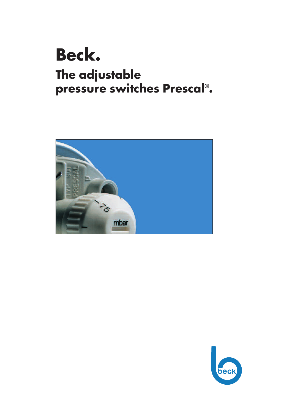# **Beck. The adjustable pressure switches Prescal® .**



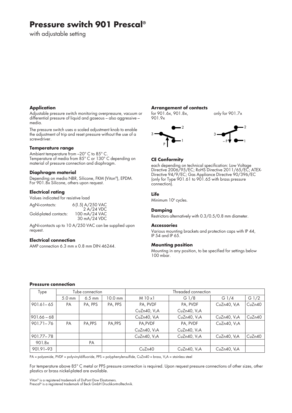# **Pressure switch 901 Prescal®**

with adjustable setting

#### **Application**

Adjustable pressure switch monitoring overpressure, vacuum or differential pressure of liquid and gaseous – also aggressive – media.

The pressure switch uses a scaled adjustment knob to enable the adjustment of trip and reset pressure without the use of a screwdriver.

#### **Temperature range**

Ambient temperature from -20° C to 85° C. Temperature of media from 85° C or 130° C depending on material of pressure connection and diaphragm.

#### **Diaphragm material**

Depending on media NBR, Silicone, FKM (Viton®), EPDM. For 901.8x Silicone, others upon request.

#### **Electrical rating**

Values indicated for resistive load

AgNi-contacts: 6(1.5) A/250 VAC 2 A/24 VDC<br>100 mA/24 VAC Gold-plated contacts: 30 mA/24 VDC

AgNi-contacts up to 10 A/250 VAC can be supplied upon request.

#### **Electrical connection**

AMP connection 6.3 mm x 0.8 mm DIN 46244.

#### **Arrangement of contacts**

for 901.6x, 901.8x, only for 901.7x 901.9x





#### **CE Conformity**

each depending on technical specification: Low Voltage Directive 2006/95/EC; RoHS Directive 2011/65/EC; ATEX-Directive 94/9/EC; Gas Appliance Directive 90/396/EC (only for Type 901.61 to 901.65 with brass pressure connection).

#### **Life**

Minimum 10<sup>6</sup> cycles.

#### **Damping**

Restrictors alternatively with 0.3/0.5/0.8 mm diameter.

#### **Accessories**

Various mounting brackets and protection caps with IP 44, IP 54 and IP 65.

#### **Mounting position**

Mounting in any position, to be specified for settings below 100 mbar.

#### **Pressure connection**

| Type          | Tube connection  |          |           | Threaded connection      |                          |                          |         |  |
|---------------|------------------|----------|-----------|--------------------------|--------------------------|--------------------------|---------|--|
|               | $5.0 \text{ mm}$ | $6.5$ mm | $10.0$ mm | M10x1                    | G $1/8$                  | G $1/4$                  | G $1/2$ |  |
| $901.61 - 65$ | PA               | PA, PPS  | PA, PPS   | PA, PVDF                 | PA, PVDF                 | CuZn40, $V_2A$           | CuZn40  |  |
|               |                  |          |           | CuZn40, $V_2A$           | CuZn40, V <sub>2</sub> A |                          |         |  |
| $901.66 - 68$ |                  |          |           | CuZn40, V <sub>2</sub> A | CuZn40, $V_2A$           | CuZn40, $V_2A$           | CuZn40  |  |
| $901.71 - 76$ | PA               | PA, PPS  | PA, PPS   | PA, PVDF                 | PA, PVDF                 | CuZn40, $V_2A$           |         |  |
|               |                  |          |           | CuZn40, $V_2A$           | CuZn40, $V_2A$           |                          |         |  |
| $901.77 - 78$ |                  |          |           | CuZn40, $V_2A$           | CuZn40, V <sub>2</sub> A | CuZn40, V <sub>2</sub> A | CuZn40  |  |
| 901.8x        |                  | PA       |           |                          |                          |                          |         |  |
| 901.91-93     |                  |          |           | CuZn40                   | CuZn40, $V_2A$           | CuZn40, $V_2A$           |         |  |

PA = polyamide, PVDF = polyvinyldifluoride, PPS = polyphenylensulfide, CuZn40 = brass, V<sub>2</sub>A = stainless steel

For temperature above 85° C metal or PPS pressure connection is required. Upon request pressure connections of other sizes, other plastics or brass nickel-plated are available.

Viton® is a registered trademark of DuPont Dow Elastomers.

Prescal® is a registered trademark of Beck GmbH Druckkontrolltechnik.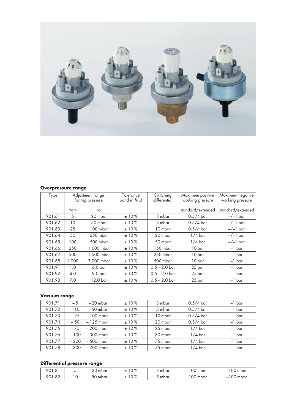

### **Overpressure range**

| Type   | Adjustment range<br>for trip pressure |                    | Tolerance<br>band in % of | Switching<br>differential | Maximum positive<br>working pressure | Maximum negative<br>working pressure |
|--------|---------------------------------------|--------------------|---------------------------|---------------------------|--------------------------------------|--------------------------------------|
|        | from                                  | to                 |                           |                           | standard/extended                    | standard/extended                    |
| 901.61 | 5                                     | 20 mbar            | ±10%                      | 3 mbar                    | $0.5/4$ bar                          | $-/-1$ bar                           |
| 901.62 | 10                                    | 50 mbar            | ±10%                      | 5 mbar                    | $0.5/4$ bar                          | $-/-1$ bar                           |
| 901.63 | 25                                    | 100 mbar           | ±10%                      | 10 mbar                   | $0.5/4$ bar                          | $-/-1$ bar                           |
| 901.64 | 50                                    | 250 mbar           | ±10%                      | 20 mbar                   | $1/4$ bar                            | $-/-1$ bar                           |
| 901.65 | 100                                   | 500 mbar           | ±10%                      | 50 mbar                   | $1/4$ bar                            | $-/-1$ bar                           |
| 901.66 | 250                                   | 1.000 mbar         | ±10%                      | 150 mbar                  | 10 bar                               | $-1$ bar                             |
| 901.67 | 500                                   | 1.500 mbar         | $±10\%$                   | 250 mbar                  | 10 bar                               | $-1$ bar                             |
| 901.68 | 1.000                                 | 3.000 mbar         | ±10%                      | 500 mbar                  | 10 bar                               | $-1$ bar                             |
| 901.91 | 1.0                                   | 6.0 <sub>bar</sub> | ±10%                      | $0.5 - 2.0$ bar           | 25 bar                               | $-1$ bar                             |
| 901.92 | 4.0                                   | 9.0 <sub>bar</sub> | ±10%                      | $0.5 - 2.0$ bar           | 25 bar                               | $-1$ bar                             |
| 901.93 | 7.0                                   | 12.0 bar           | ±10%                      | $0.5 - 2.0$ bar           | 25 bar                               | $-1$ bar                             |

## **Vacuum range**

| 901.71 | $-5$   | $-20$ mbar  | ±10% | 3 mbar  | $0.5/4$ bar | $-1$ bar |
|--------|--------|-------------|------|---------|-------------|----------|
| 901.72 | $-10$  | $-50$ mbar  | ±10% | 5 mbar  | $0.5/4$ bar | $-1$ bar |
| 901.73 | $-25$  | $-100$ mbar | ±10% | 10 mbar | $0.5/4$ bar | $-1$ bar |
| 901.74 | $-50$  | – 125 mbar  | ±10% | 20 mbar | $0.5/4$ bar | $-1$ bar |
| 901.75 | $-7.5$ | – 200 mbar  | ±10% | 25 mbar | $1/4$ bar   | $-1$ bar |
| 901.76 | $-100$ | – 300 mbar  | ±10% | 30 mbar | $1/4$ bar   | $-1$ bar |
| 901.77 | $-200$ | – 500 mbar  | ±10% | 75 mbar | $1/4$ bar   | $-1$ bar |
| 901.78 | $-300$ | – 700 mbar  | ±10% | 75 mbar | $1/4$ bar   | $-1$ bar |

## **Differential pressure range**

| 901<br>.81          |                 | 20<br>mbar     | $1 \wedge 0$<br>-<br>: ש<br>$\sqrt{c}$     | mbar | '00 mbar | $\cap$<br>. UU mbar  |
|---------------------|-----------------|----------------|--------------------------------------------|------|----------|----------------------|
| .82<br>ON 1<br>ັບ ເ | $\sqrt{2}$<br>◡ | r o<br>50 mbar | $\sim$ 0/<br><b>__</b><br>1 U I<br>70<br>∸ | mbar | '00 mbar | $\sim$<br>mbar<br>vv |